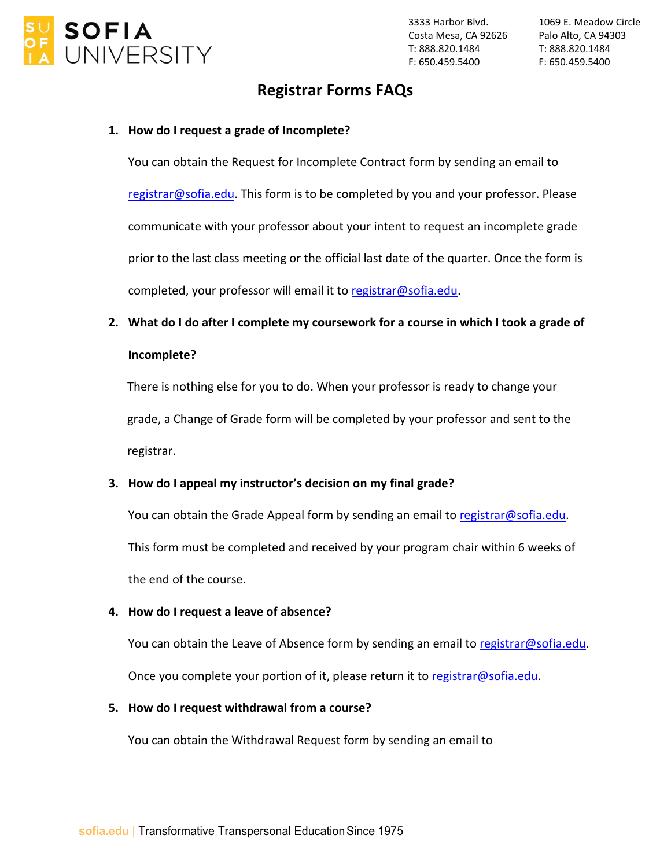

Costa Mesa, CA 92626 Palo Alto, CA 94303 3333 Harbor Blvd. T: 888.820.1484 F: 650.459.5400

1069 E. Meadow Circle T: 888.820.1484 F: 650.459.5400

## **Registrar Forms FAQs**

#### **1. How do I request a grade of Incomplete?**

You can obtain the Request for Incomplete Contract form by sending an email to [registrar@sofia.edu.](mailto:registrar@sofia.edu) This form is to be completed by you and your professor. Please communicate with your professor about your intent to request an incomplete grade prior to the last class meeting or the official last date of the quarter. Once the form is completed, your professor will email it t[o registrar@sofia.edu.](mailto:registrar@sofia.edu)

**2. What do I do after I complete my coursework for a course in which I took a grade of Incomplete?**

There is nothing else for you to do. When your professor is ready to change your grade, a Change of Grade form will be completed by your professor and sent to the registrar.

### **3. How do I appeal my instructor's decision on my final grade?**

You can obtain the Grade Appeal form by sending an email to [registrar@sofia.edu.](mailto:registrar@sofia.edu) This form must be completed and received by your program chair within 6 weeks of the end of the course.

#### **4. How do I request a leave of absence?**

You can obtain the Leave of Absence form by sending an email t[o registrar@sofia.edu.](mailto:registrar@sofia.edu) Once you complete your portion of it, please return it to [registrar@sofia.edu.](mailto:registrar@sofia.edu)

#### **5. How do I request withdrawal from a course?**

You can obtain the Withdrawal Request form by sending an email to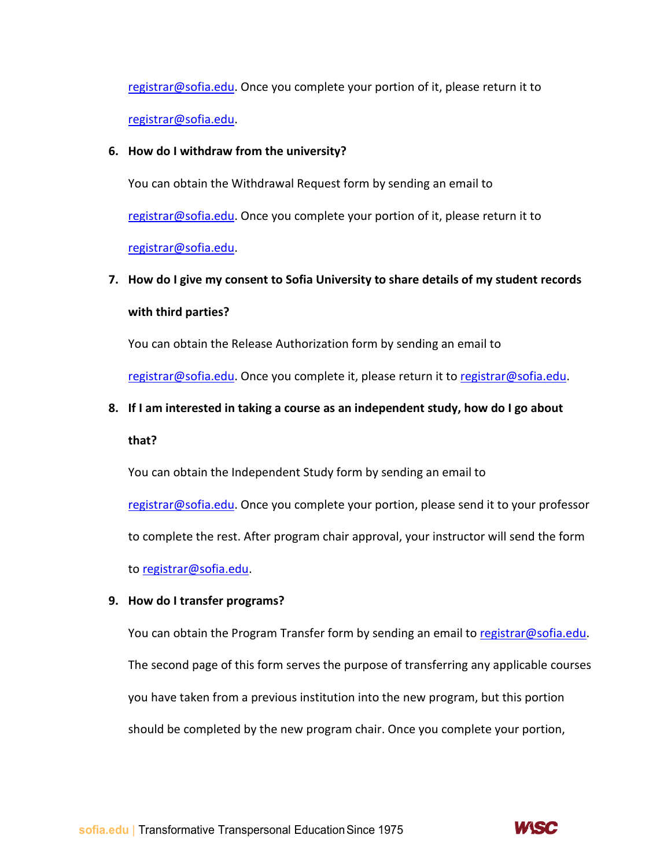[registrar@sofia.edu.](mailto:registrar@sofia.edu) Once you complete your portion of it, please return it to [registrar@sofia.edu.](mailto:registrar@sofia.edu)

#### **6. How do I withdraw from the university?**

You can obtain the Withdrawal Request form by sending an email to [registrar@sofia.edu.](mailto:registrar@sofia.edu) Once you complete your portion of it, please return it to [registrar@sofia.edu.](mailto:registrar@sofia.edu)

# **7. How do I give my consent to Sofia University to share details of my student records with third parties?**

You can obtain the Release Authorization form by sending an email to

[registrar@sofia.edu.](mailto:registrar@sofia.edu) Once you complete it, please return it to [registrar@sofia.edu.](mailto:registrar@sofia.edu)

## **8. If I am interested in taking a course as an independent study, how do I go about**

#### **that?**

You can obtain the Independent Study form by sending an email to [registrar@sofia.edu.](mailto:registrar@sofia.edu) Once you complete your portion, please send it to your professor to complete the rest. After program chair approval, your instructor will send the form

to [registrar@sofia.edu.](mailto:registrar@sofia.edu)

#### **9. How do I transfer programs?**

You can obtain the Program Transfer form by sending an email to [registrar@sofia.edu.](mailto:registrar@sofia.edu) The second page of this form serves the purpose of transferring any applicable courses you have taken from a previous institution into the new program, but this portion should be completed by the new program chair. Once you complete your portion,